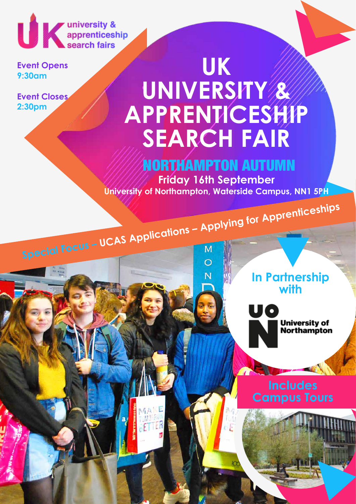UK university &<br>
search fairs

**Event Opens 9:30am**

**Event Closes 2:30pm**

# **UK UNIVERSITY & APPRENTICESHIP SEARCH FAIR**

### NORTHAMPTON AUTUMN

**Friday 16th September University of Northampton, Waterside Campus, NN1 5PH**

N

ETTER

**Special Focus – UCAS Applications – Applying for Apprenticeships** 

**In Partnership with**



**University of<br>Northampton** 

### **Includes Campus Tours**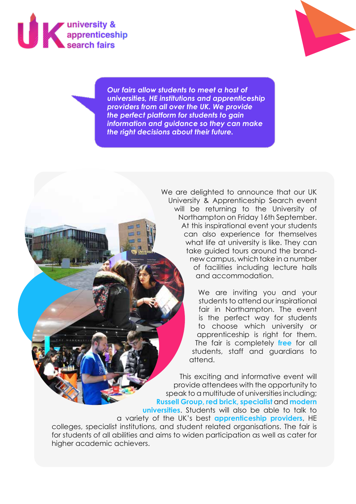



*Our fairs allow students to meet a host of universities, HE institutions and apprenticeship providers from all over the UK. We provide the perfect platform for students to gain information and guidance so they can make the right decisions about their future.*

> We are delighted to announce that our UK University & Apprenticeship Search event will be returning to the University of Northampton on Friday 16th September. At this inspirational event your students can also experience for themselves what life at university is like. They can take guided tours around the brandnew campus, which take in a number of facilities including lecture halls and accommodation.

> > We are inviting you and your students to attend our inspirational fair in Northampton. The event is the perfect way for students to choose which university or apprenticeship is right for them. The fair is completely **free** for all students, staff and guardians to attend.

This exciting and informative event will provide attendees with the opportunity to speak to a multitude of universities including; **Russell Group, red brick, specialist** and **modern universities**. Students will also be able to talk to a variety of the UK's best **apprenticeship providers**, HE colleges, specialist institutions, and student related organisations. The fair is for students of all abilities and aims to widen participation as well as cater for higher academic achievers.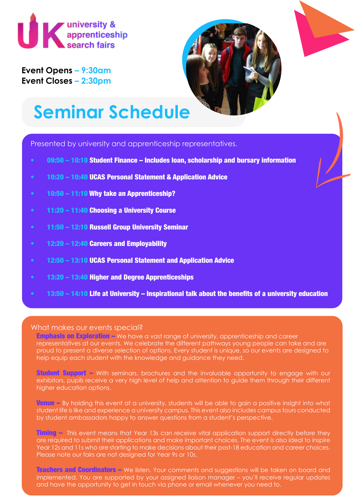

**Event Opens – 9:30am Event Closes – 2:30pm**



## **Seminar Schedule**

Presented by university and apprenticeship representatives.

- 09:50 10:10 Student Finance Includes loan, scholarship and bursary information
- 10:20 10:40 UCAS Personal Statement & Application Advice
- 10:50 11:10 Why take an Apprenticeship?
- 11:20 11:40 Choosing a University Course
- 11:50 12:10 Russell Group University Seminar
- 12:20 12:40 Careers and Employability
- 12:50 13:10 UCAS Personal Statement and Application Advice
- 13:20 13:40 Higher and Degree Apprenticeships
- 13:50 14:10 Life at University Inspirational talk about the benefits of a university education

#### What makes our events special?

Emphasis on Exploration – We have a vast range of university, apprenticeship and career representatives at our events. We celebrate the different pathways young people can take and are proud to present a diverse selection of options. Every student is unique, so our events are designed to help equip each student with the knowledge and guidance they need.

**Student Support –** With seminars, brochures and the invaluable opportunity to engage with our exhibitors, pupils receive a very high level of help and attention to guide them through their different higher education options.

**Venue** – By holding this event at a university, students will be able to gain a positive insight into what student life is like and experience a university campus. This event also includes campus tours conducted by student ambassadors happy to answer questions from a student's perspective.

**Timing –** This event means that Year 13s can receive vital application support directly before they are required to submit their applications and make important choices. The event is also ideal to inspire Year 12s and 11s who are starting to make decisions about their post-18 education and career choices. Please note our fairs are not designed for Year 9s or 10s.

Teachers and Coordinators – We listen. Your comments and suggestions will be taken on board and implemented. You are supported by your assigned liaison manager – you'll receive regular updates and have the opportunity to get in touch via phone or email whenever you need to.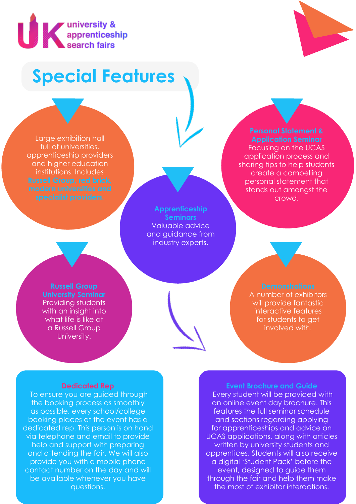

## **Special Features**

Large exhibition hall full of universities, apprenticeship providers and higher education institutions. Includes

> **Apprenticeship Seminars** Valuable advice and guidance from industry experts.

## **Application Seminar**

Focusing on the UCAS application process and sharing tips to help students create a compelling personal statement that stands out amongst the crowd.

**Russell Group University Seminar** Providing students with an insight into what life is like at a Russell Group University.

A number of exhibitors will provide fantastic interactive features for students to get involved with.

#### **Dedicated Rep**

 To ensure you are guided through the booking process as smoothly as possible, every school/college booking places at the event has a dedicated rep. This person is on hand via telephone and email to provide help and support with preparing and attending the fair. We will also provide you with a mobile phone contact number on the day and will be available whenever you have questions.

### **Event Brochure and Guide**

 Every student will be provided with an online event day brochure. This features the full seminar schedule and sections regarding applying for apprenticeships and advice on UCAS applications, along with articles written by university students and apprentices. Students will also receive a digital 'Student Pack' before the event, designed to guide them through the fair and help them make the most of exhibitor interactions.